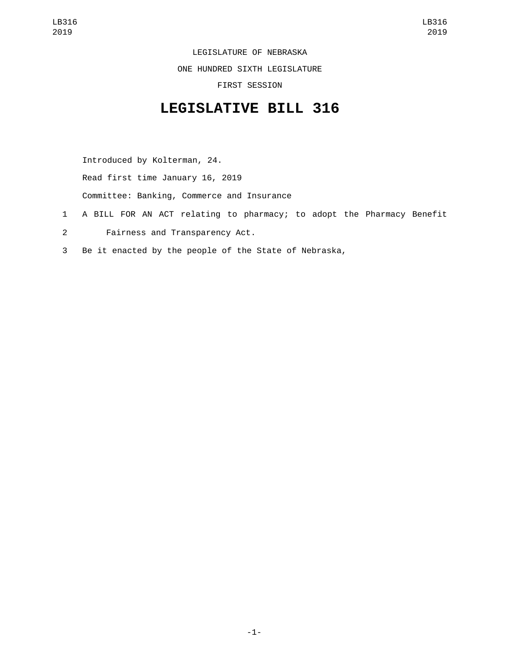LEGISLATURE OF NEBRASKA

ONE HUNDRED SIXTH LEGISLATURE

FIRST SESSION

## **LEGISLATIVE BILL 316**

Introduced by Kolterman, 24. Read first time January 16, 2019

Committee: Banking, Commerce and Insurance

- 1 A BILL FOR AN ACT relating to pharmacy; to adopt the Pharmacy Benefit
- Fairness and Transparency Act.2
- 3 Be it enacted by the people of the State of Nebraska,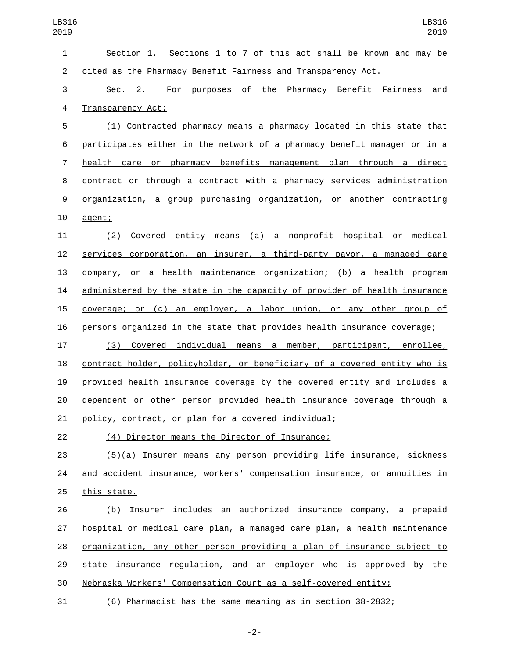| $\mathbf{1}$   | Section 1. Sections 1 to 7 of this act shall be known and may be          |
|----------------|---------------------------------------------------------------------------|
| $\overline{c}$ | cited as the Pharmacy Benefit Fairness and Transparency Act.              |
| 3              | Sec. 2.<br>For purposes of the Pharmacy Benefit Fairness<br>and           |
| 4              | Transparency Act:                                                         |
| 5              | (1) Contracted pharmacy means a pharmacy located in this state that       |
| 6              | participates either in the network of a pharmacy benefit manager or in a  |
| $\overline{7}$ | health care or pharmacy benefits management plan through a direct         |
| 8              | contract or through a contract with a pharmacy services administration    |
| 9              | organization, a group purchasing organization, or another contracting     |
| 10             | agent;                                                                    |
| 11             | (2) Covered entity means (a) a nonprofit hospital or medical              |
| 12             | services corporation, an insurer, a third-party payor, a managed care     |
| 13             | company, or a health maintenance organization; (b) a health program       |
| 14             | administered by the state in the capacity of provider of health insurance |
| 15             | coverage; or (c) an employer, a labor union, or any other group of        |
| 16             | persons organized in the state that provides health insurance coverage;   |
| 17             | (3) Covered individual means a member, participant, enrollee,             |
| 18             | contract holder, policyholder, or beneficiary of a covered entity who is  |
| 19             | provided health insurance coverage by the covered entity and includes a   |
| 20             | dependent or other person provided health insurance coverage through a    |
| 21             | policy, contract, or plan for a covered individual;                       |
| 22             | (4) Director means the Director of Insurance;                             |
| 23             | (5)(a) Insurer means any person providing life insurance, sickness        |
| 24             | and accident insurance, workers' compensation insurance, or annuities in  |
| 25             | this state.                                                               |
| 26             | (b) Insurer includes an authorized insurance company, a prepaid           |
| 27             | hospital or medical care plan, a managed care plan, a health maintenance  |
| 28             | organization, any other person providing a plan of insurance subject to   |
| 29             | state insurance regulation, and an employer who is approved by the        |
| 30             | Nebraska Workers' Compensation Court as a self-covered entity;            |
| 31             | (6) Pharmacist has the same meaning as in section 38-2832;                |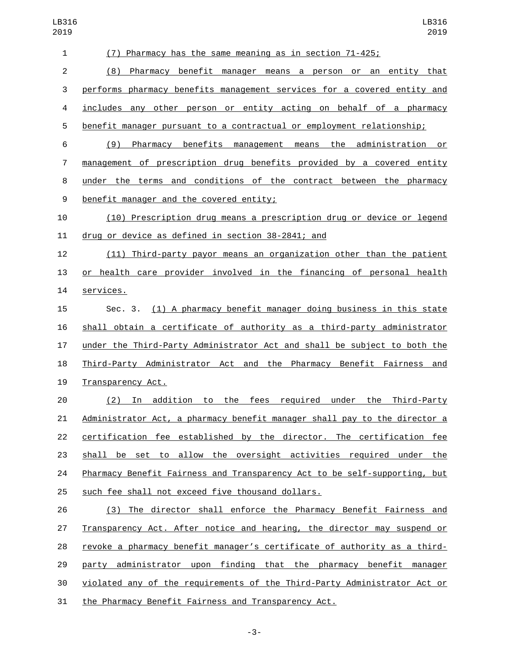| $\mathbf{1}$     | Pharmacy has the same meaning as in section 71-425;<br>(7)                |
|------------------|---------------------------------------------------------------------------|
| 2                | (8) Pharmacy benefit manager means a person or an entity that             |
| 3                | performs pharmacy benefits management services for a covered entity and   |
| 4                | includes any other person or entity acting on behalf of a pharmacy        |
| 5                | benefit manager pursuant to a contractual or employment relationship;     |
| 6                | Pharmacy benefits management means the administration or<br>(9)           |
| $\overline{7}$   | management of prescription drug benefits provided by a covered entity     |
| 8                | under the terms and conditions of the contract between the pharmacy       |
| $\boldsymbol{9}$ | benefit manager and the covered entity;                                   |
| 10               | (10) Prescription drug means a prescription drug or device or legend      |
| 11               | drug or device as defined in section 38-2841; and                         |
| 12               | (11) Third-party payor means an organization other than the patient       |
| 13               | or health care provider involved in the financing of personal health      |
| 14               | services.                                                                 |
| 15               | Sec. 3. (1) A pharmacy benefit manager doing business in this state       |
| 16               | shall obtain a certificate of authority as a third-party administrator    |
| 17               | under the Third-Party Administrator Act and shall be subject to both the  |
| 18               | Third-Party Administrator Act and the Pharmacy Benefit Fairness and       |
| 19               | Transparency Act.                                                         |
| 20               | In addition to the fees required under the Third-Party<br>(2)             |
| 21               | Administrator Act, a pharmacy benefit manager shall pay to the director a |
| 22               | certification fee established by the director. The certification fee      |
| 23               | shall be set to allow the oversight activities required under the         |
| 24               | Pharmacy Benefit Fairness and Transparency Act to be self-supporting, but |
| 25               | such fee shall not exceed five thousand dollars.                          |
| 26               | (3) The director shall enforce the Pharmacy Benefit Fairness and          |
| 27               | Transparency Act. After notice and hearing, the director may suspend or   |
| 28               | revoke a pharmacy benefit manager's certificate of authority as a third-  |
| 29               | party administrator upon finding that the pharmacy benefit manager        |
| 30               | violated any of the requirements of the Third-Party Administrator Act or  |
| 31               | the Pharmacy Benefit Fairness and Transparency Act.                       |

-3-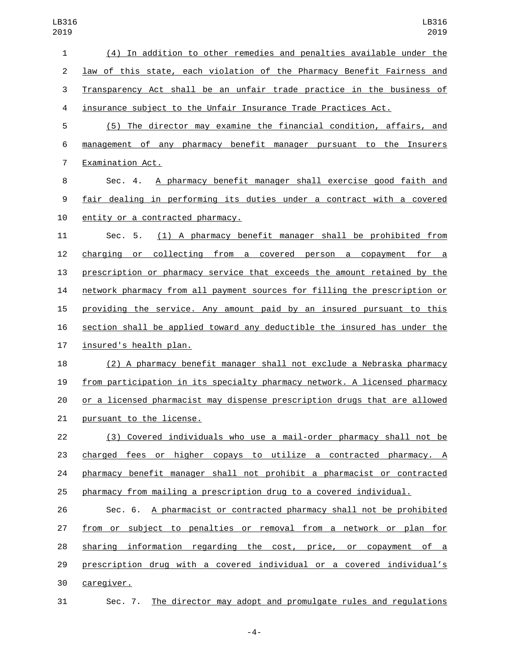| 1              | (4) In addition to other remedies and penalties available under the       |
|----------------|---------------------------------------------------------------------------|
| $\overline{2}$ | law of this state, each violation of the Pharmacy Benefit Fairness and    |
| 3              | Transparency Act shall be an unfair trade practice in the business of     |
| 4              | insurance subject to the Unfair Insurance Trade Practices Act.            |
| 5              | (5) The director may examine the financial condition, affairs, and        |
| 6              | management of any pharmacy benefit manager pursuant to the Insurers       |
| 7              | Examination Act.                                                          |
| 8              | A pharmacy benefit manager shall exercise good faith and<br>Sec. 4.       |
| 9              | fair dealing in performing its duties under a contract with a covered     |
| 10             | entity or a contracted pharmacy.                                          |
| 11             | (1) A pharmacy benefit manager shall be prohibited from<br>Sec. 5.        |
| 12             | collecting from a covered person a copayment for a<br>charqinq or         |
| 13             | prescription or pharmacy service that exceeds the amount retained by the  |
| 14             | network pharmacy from all payment sources for filling the prescription or |
| 15             | providing the service. Any amount paid by an insured pursuant to this     |
| 16             | section shall be applied toward any deductible the insured has under the  |
| 17             | insured's health plan.                                                    |
| 18             | (2) A pharmacy benefit manager shall not exclude a Nebraska pharmacy      |
| 19             | from participation in its specialty pharmacy network. A licensed pharmacy |
| 20             | or a licensed pharmacist may dispense prescription drugs that are allowed |
| 21             | pursuant to the license.                                                  |
| 22             | (3) Covered individuals who use a mail-order pharmacy shall not be        |
| 23             | charged fees or higher copays to utilize a contracted pharmacy. A         |
| 24             | pharmacy benefit manager shall not prohibit a pharmacist or contracted    |
| 25             | pharmacy from mailing a prescription drug to a covered individual.        |
| 26             | Sec. 6. A pharmacist or contracted pharmacy shall not be prohibited       |
| 27             | from or subject to penalties or removal from a network or plan for        |
| 28             | sharing information regarding the cost, price, or copayment of a          |
| 29             | prescription drug with a covered individual or a covered individual's     |
| 30             | caregiver.                                                                |
| 31             | Sec. 7. The director may adopt and promulgate rules and regulations       |